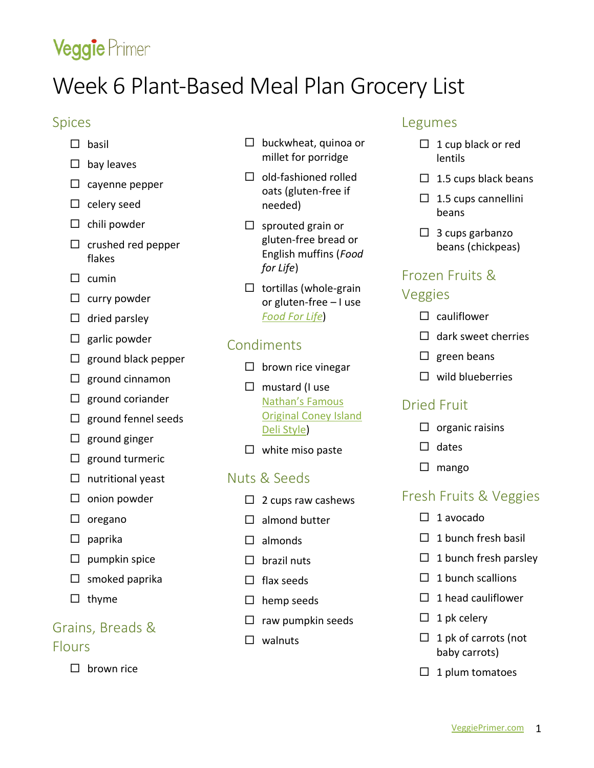# Veggie Primer

## Week 6 Plant-Based Meal Plan Grocery List

### Spices

- $\square$  basil
- $\square$  bay leaves
- $\Box$  cayenne pepper
- $\square$  celery seed
- $\Box$  chili powder
- $\square$  crushed red pepper flakes
- $\square$  cumin
- $\square$  curry powder
- $\Box$  dried parsley
- $\Box$  garlic powder
- $\Box$  ground black pepper
- $\Box$  ground cinnamon
- $\square$  ground coriander
- $\Box$  ground fennel seeds
- $\square$  ground ginger
- $\square$  ground turmeric
- $\Box$  nutritional yeast
- $\square$  onion powder
- $\square$  oregano
- $\square$  paprika
- $\square$  pumpkin spice
- $\Box$  smoked paprika
- $\Box$  thyme

### Grains, Breads & Flours

 $\square$  brown rice

- $\Box$  buckwheat, quinoa or millet for porridge
- $\Box$  old-fashioned rolled oats (gluten-free if needed)
- $\square$  sprouted grain or gluten-free bread or English muffins (*Food for Life*)
- $\Box$  tortillas (whole-grain or gluten-free – I use *[Food For Life](https://www.foodforlife.com/products/tortillas)*)

### Condiments

- $\square$  brown rice vinegar
- $\Box$  mustard (I use [Nathan's Famous](https://nathansfamous.com/products/sauces-and-condiments/deli-style-mustard-squeeze-bottle/)  [Original Coney Island](https://nathansfamous.com/products/sauces-and-condiments/deli-style-mustard-squeeze-bottle/)  [Deli Style\)](https://nathansfamous.com/products/sauces-and-condiments/deli-style-mustard-squeeze-bottle/)
- $\square$  white miso paste

### Nuts & Seeds

- $\Box$  2 cups raw cashews
- $\Box$  almond butter
- $\square$  almonds
- $\Box$  brazil nuts
- $\Box$  flax seeds
- $\square$  hemp seeds
- $\Box$  raw pumpkin seeds
- $\square$  walnuts

### Legumes

- $\Box$  1 cup black or red lentils
- $\Box$  1.5 cups black beans
- $\Box$  1.5 cups cannellini beans
- $\Box$  3 cups garbanzo beans (chickpeas)

## Frozen Fruits &

### Veggies

- $\square$  cauliflower
- $\Box$  dark sweet cherries
- $\square$  green beans
- $\Box$  wild blueberries

### Dried Fruit

- $\Box$  organic raisins
- $\Box$  dates
- $\square$  mango

### Fresh Fruits & Veggies

- $\Box$  1 avocado
- $\Box$  1 bunch fresh basil
- $\Box$  1 bunch fresh parsley
- $\Box$  1 bunch scallions
- $\Box$  1 head cauliflower
- $\Box$  1 pk celery
- $\Box$  1 pk of carrots (not baby carrots)
- $\Box$  1 plum tomatoes